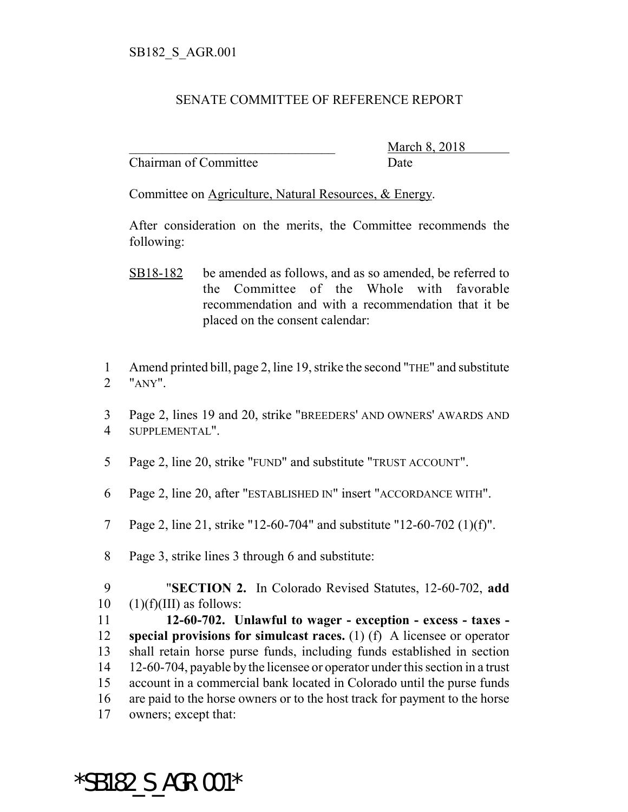## SENATE COMMITTEE OF REFERENCE REPORT

Chairman of Committee Date

March 8, 2018

Committee on Agriculture, Natural Resources, & Energy.

After consideration on the merits, the Committee recommends the following:

- SB18-182 be amended as follows, and as so amended, be referred to the Committee of the Whole with favorable recommendation and with a recommendation that it be placed on the consent calendar:
- 1 Amend printed bill, page 2, line 19, strike the second "THE" and substitute 2 "ANY".
- 3 Page 2, lines 19 and 20, strike "BREEDERS' AND OWNERS' AWARDS AND 4 SUPPLEMENTAL".
- 5 Page 2, line 20, strike "FUND" and substitute "TRUST ACCOUNT".
- 6 Page 2, line 20, after "ESTABLISHED IN" insert "ACCORDANCE WITH".
- 7 Page 2, line 21, strike "12-60-704" and substitute "12-60-702 (1)(f)".
- 8 Page 3, strike lines 3 through 6 and substitute:

\*SB182\_S\_AGR.001\*

9 "**SECTION 2.** In Colorado Revised Statutes, 12-60-702, **add**  $10 \quad (1)(f)(III)$  as follows:

 **12-60-702. Unlawful to wager - exception - excess - taxes - special provisions for simulcast races.** (1) (f) A licensee or operator shall retain horse purse funds, including funds established in section 12-60-704, payable by the licensee or operator under this section in a trust account in a commercial bank located in Colorado until the purse funds are paid to the horse owners or to the host track for payment to the horse owners; except that: